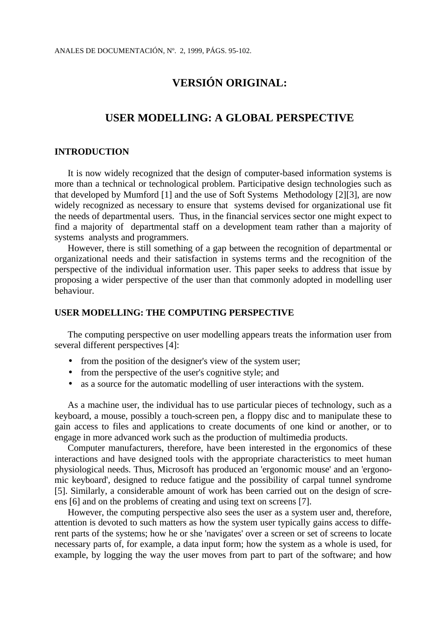# **VERSIÓN ORIGINAL:**

# **USER MODELLING: A GLOBAL PERSPECTIVE**

## **INTRODUCTION**

It is now widely recognized that the design of computer-based information systems is more than a technical or technological problem. Participative design technologies such as that developed by Mumford [1] and the use of Soft Systems Methodology [2][3], are now widely recognized as necessary to ensure that systems devised for organizational use fit the needs of departmental users. Thus, in the financial services sector one might expect to find a majority of departmental staff on a development team rather than a majority of systems analysts and programmers.

However, there is still something of a gap between the recognition of departmental or organizational needs and their satisfaction in systems terms and the recognition of the perspective of the individual information user. This paper seeks to address that issue by proposing a wider perspective of the user than that commonly adopted in modelling user behaviour.

## **USER MODELLING: THE COMPUTING PERSPECTIVE**

The computing perspective on user modelling appears treats the information user from several different perspectives [4]:

- from the position of the designer's view of the system user;
- from the perspective of the user's cognitive style; and
- as a source for the automatic modelling of user interactions with the system.

As a machine user, the individual has to use particular pieces of technology, such as a keyboard, a mouse, possibly a touch-screen pen, a floppy disc and to manipulate these to gain access to files and applications to create documents of one kind or another, or to engage in more advanced work such as the production of multimedia products.

Computer manufacturers, therefore, have been interested in the ergonomics of these interactions and have designed tools with the appropriate characteristics to meet human physiological needs. Thus, Microsoft has produced an 'ergonomic mouse' and an 'ergonomic keyboard', designed to reduce fatigue and the possibility of carpal tunnel syndrome [5]. Similarly, a considerable amount of work has been carried out on the design of screens [6] and on the problems of creating and using text on screens [7].

However, the computing perspective also sees the user as a system user and, therefore, attention is devoted to such matters as how the system user typically gains access to different parts of the systems; how he or she 'navigates' over a screen or set of screens to locate necessary parts of, for example, a data input form; how the system as a whole is used, for example, by logging the way the user moves from part to part of the software; and how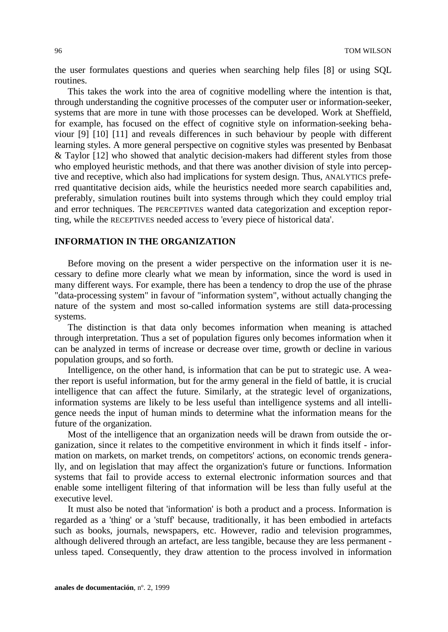the user formulates questions and queries when searching help files [8] or using SQL routines.

This takes the work into the area of cognitive modelling where the intention is that, through understanding the cognitive processes of the computer user or information-seeker, systems that are more in tune with those processes can be developed. Work at Sheffield, for example, has focused on the effect of cognitive style on information-seeking behaviour [9] [10] [11] and reveals differences in such behaviour by people with different learning styles. A more general perspective on cognitive styles was presented by Benbasat & Taylor [12] who showed that analytic decision-makers had different styles from those who employed heuristic methods, and that there was another division of style into perceptive and receptive, which also had implications for system design. Thus, ANALYTICS preferred quantitative decision aids, while the heuristics needed more search capabilities and, preferably, simulation routines built into systems through which they could employ trial and error techniques. The PERCEPTIVES wanted data categorization and exception reporting, while the RECEPTIVES needed access to 'every piece of historical data'.

## **INFORMATION IN THE ORGANIZATION**

Before moving on the present a wider perspective on the information user it is necessary to define more clearly what we mean by information, since the word is used in many different ways. For example, there has been a tendency to drop the use of the phrase "data-processing system" in favour of "information system", without actually changing the nature of the system and most so-called information systems are still data-processing systems.

The distinction is that data only becomes information when meaning is attached through interpretation. Thus a set of population figures only becomes information when it can be analyzed in terms of increase or decrease over time, growth or decline in various population groups, and so forth.

Intelligence, on the other hand, is information that can be put to strategic use. A weather report is useful information, but for the army general in the field of battle, it is crucial intelligence that can affect the future. Similarly, at the strategic level of organizations, information systems are likely to be less useful than intelligence systems and all intelligence needs the input of human minds to determine what the information means for the future of the organization.

Most of the intelligence that an organization needs will be drawn from outside the organization, since it relates to the competitive environment in which it finds itself - information on markets, on market trends, on competitors' actions, on economic trends generally, and on legislation that may affect the organization's future or functions. Information systems that fail to provide access to external electronic information sources and that enable some intelligent filtering of that information will be less than fully useful at the executive level.

It must also be noted that 'information' is both a product and a process. Information is regarded as a 'thing' or a 'stuff' because, traditionally, it has been embodied in artefacts such as books, journals, newspapers, etc. However, radio and television programmes, although delivered through an artefact, are less tangible, because they are less permanent unless taped. Consequently, they draw attention to the process involved in information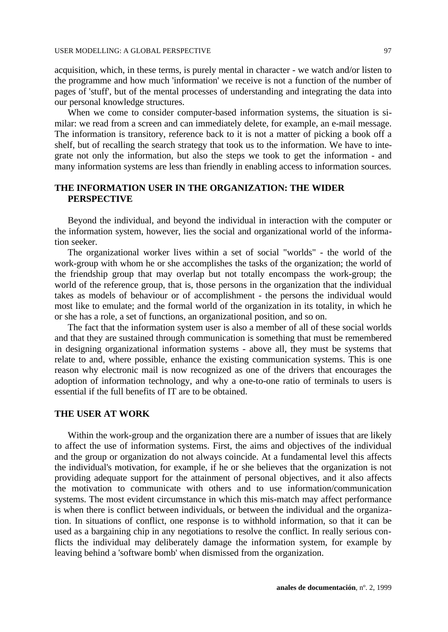acquisition, which, in these terms, is purely mental in character - we watch and/or listen to the programme and how much 'information' we receive is not a function of the number of pages of 'stuff', but of the mental processes of understanding and integrating the data into our personal knowledge structures.

When we come to consider computer-based information systems, the situation is similar: we read from a screen and can immediately delete, for example, an e-mail message. The information is transitory, reference back to it is not a matter of picking a book off a shelf, but of recalling the search strategy that took us to the information. We have to integrate not only the information, but also the steps we took to get the information - and many information systems are less than friendly in enabling access to information sources.

## **THE INFORMATION USER IN THE ORGANIZATION: THE WIDER PERSPECTIVE**

Beyond the individual, and beyond the individual in interaction with the computer or the information system, however, lies the social and organizational world of the information seeker.

The organizational worker lives within a set of social "worlds" - the world of the work-group with whom he or she accomplishes the tasks of the organization; the world of the friendship group that may overlap but not totally encompass the work-group; the world of the reference group, that is, those persons in the organization that the individual takes as models of behaviour or of accomplishment - the persons the individual would most like to emulate; and the formal world of the organization in its totality, in which he or she has a role, a set of functions, an organizational position, and so on.

The fact that the information system user is also a member of all of these social worlds and that they are sustained through communication is something that must be remembered in designing organizational information systems - above all, they must be systems that relate to and, where possible, enhance the existing communication systems. This is one reason why electronic mail is now recognized as one of the drivers that encourages the adoption of information technology, and why a one-to-one ratio of terminals to users is essential if the full benefits of IT are to be obtained.

## **THE USER AT WORK**

Within the work-group and the organization there are a number of issues that are likely to affect the use of information systems. First, the aims and objectives of the individual and the group or organization do not always coincide. At a fundamental level this affects the individual's motivation, for example, if he or she believes that the organization is not providing adequate support for the attainment of personal objectives, and it also affects the motivation to communicate with others and to use information/communication systems. The most evident circumstance in which this mis-match may affect performance is when there is conflict between individuals, or between the individual and the organization. In situations of conflict, one response is to withhold information, so that it can be used as a bargaining chip in any negotiations to resolve the conflict. In really serious conflicts the individual may deliberately damage the information system, for example by leaving behind a 'software bomb' when dismissed from the organization.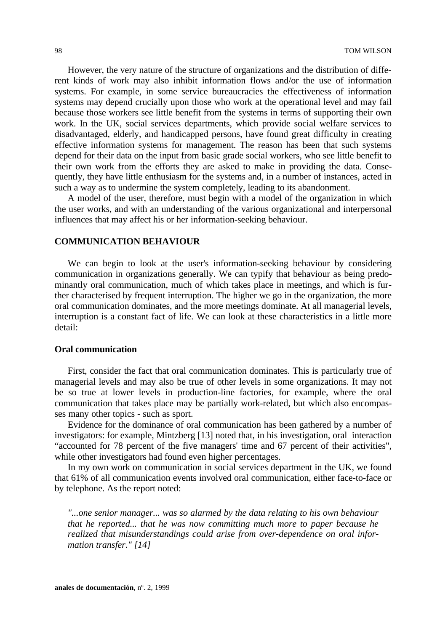However, the very nature of the structure of organizations and the distribution of different kinds of work may also inhibit information flows and/or the use of information systems. For example, in some service bureaucracies the effectiveness of information systems may depend crucially upon those who work at the operational level and may fail because those workers see little benefit from the systems in terms of supporting their own work. In the UK, social services departments, which provide social welfare services to disadvantaged, elderly, and handicapped persons, have found great difficulty in creating effective information systems for management. The reason has been that such systems depend for their data on the input from basic grade social workers, who see little benefit to their own work from the efforts they are asked to make in providing the data. Consequently, they have little enthusiasm for the systems and, in a number of instances, acted in such a way as to undermine the system completely, leading to its abandonment.

A model of the user, therefore, must begin with a model of the organization in which the user works, and with an understanding of the various organizational and interpersonal influences that may affect his or her information-seeking behaviour.

## **COMMUNICATION BEHAVIOUR**

We can begin to look at the user's information-seeking behaviour by considering communication in organizations generally. We can typify that behaviour as being predominantly oral communication, much of which takes place in meetings, and which is further characterised by frequent interruption. The higher we go in the organization, the more oral communication dominates, and the more meetings dominate. At all managerial levels, interruption is a constant fact of life. We can look at these characteristics in a little more detail:

#### **Oral communication**

First, consider the fact that oral communication dominates. This is particularly true of managerial levels and may also be true of other levels in some organizations. It may not be so true at lower levels in production-line factories, for example, where the oral communication that takes place may be partially work-related, but which also encompasses many other topics - such as sport.

Evidence for the dominance of oral communication has been gathered by a number of investigators: for example, Mintzberg [13] noted that, in his investigation, oral interaction "accounted for 78 percent of the five managers' time and 67 percent of their activities", while other investigators had found even higher percentages.

In my own work on communication in social services department in the UK, we found that 61% of all communication events involved oral communication, either face-to-face or by telephone. As the report noted:

*"...one senior manager... was so alarmed by the data relating to his own behaviour that he reported... that he was now committing much more to paper because he realized that misunderstandings could arise from over-dependence on oral information transfer." [14]*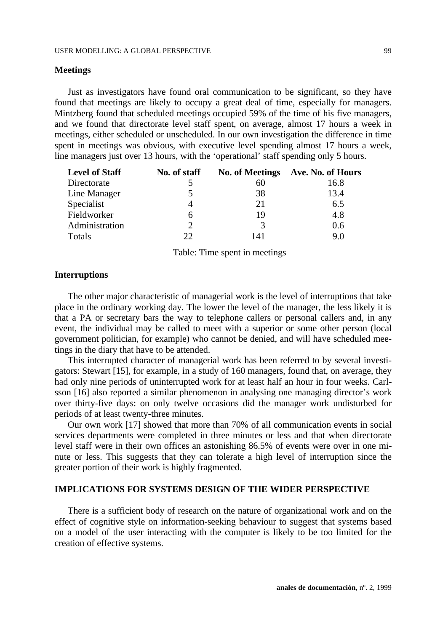#### **Meetings**

Just as investigators have found oral communication to be significant, so they have found that meetings are likely to occupy a great deal of time, especially for managers. Mintzberg found that scheduled meetings occupied 59% of the time of his five managers, and we found that directorate level staff spent, on average, almost 17 hours a week in meetings, either scheduled or unscheduled. In our own investigation the difference in time spent in meetings was obvious, with executive level spending almost 17 hours a week, line managers just over 13 hours, with the 'operational' staff spending only 5 hours.

| <b>Level of Staff</b> | No. of staff |     | No. of Meetings Ave. No. of Hours |
|-----------------------|--------------|-----|-----------------------------------|
| Directorate           |              | 60  | 16.8                              |
| Line Manager          |              | 38  | 13.4                              |
| Specialist            |              | 21  | 6.5                               |
| Fieldworker           | 6            | 19  | 4.8                               |
| Administration        |              | 3   | 0.6                               |
| Totals                | 22           | 141 | 9.0                               |

Table: Time spent in meetings

#### **Interruptions**

The other major characteristic of managerial work is the level of interruptions that take place in the ordinary working day. The lower the level of the manager, the less likely it is that a PA or secretary bars the way to telephone callers or personal callers and, in any event, the individual may be called to meet with a superior or some other person (local government politician, for example) who cannot be denied, and will have scheduled meetings in the diary that have to be attended.

This interrupted character of managerial work has been referred to by several investigators: Stewart [15], for example, in a study of 160 managers, found that, on average, they had only nine periods of uninterrupted work for at least half an hour in four weeks. Carlsson [16] also reported a similar phenomenon in analysing one managing director's work over thirty-five days: on only twelve occasions did the manager work undisturbed for periods of at least twenty-three minutes.

Our own work [17] showed that more than 70% of all communication events in social services departments were completed in three minutes or less and that when directorate level staff were in their own offices an astonishing 86.5% of events were over in one minute or less. This suggests that they can tolerate a high level of interruption since the greater portion of their work is highly fragmented.

## **IMPLICATIONS FOR SYSTEMS DESIGN OF THE WIDER PERSPECTIVE**

There is a sufficient body of research on the nature of organizational work and on the effect of cognitive style on information-seeking behaviour to suggest that systems based on a model of the user interacting with the computer is likely to be too limited for the creation of effective systems.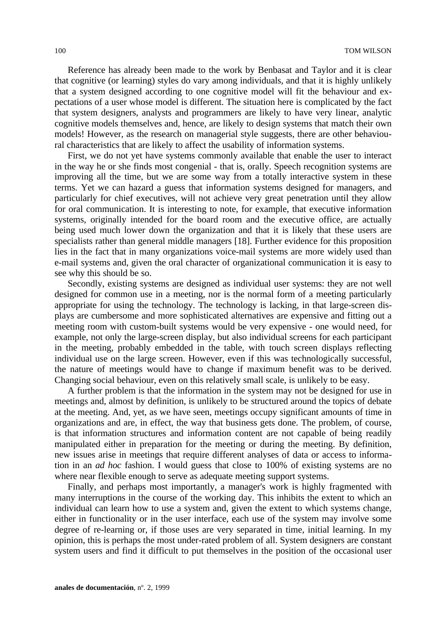Reference has already been made to the work by Benbasat and Taylor and it is clear that cognitive (or learning) styles do vary among individuals, and that it is highly unlikely that a system designed according to one cognitive model will fit the behaviour and expectations of a user whose model is different. The situation here is complicated by the fact that system designers, analysts and programmers are likely to have very linear, analytic cognitive models themselves and, hence, are likely to design systems that match their own models! However, as the research on managerial style suggests, there are other behavioural characteristics that are likely to affect the usability of information systems.

First, we do not yet have systems commonly available that enable the user to interact in the way he or she finds most congenial - that is, orally. Speech recognition systems are improving all the time, but we are some way from a totally interactive system in these terms. Yet we can hazard a guess that information systems designed for managers, and particularly for chief executives, will not achieve very great penetration until they allow for oral communication. It is interesting to note, for example, that executive information systems, originally intended for the board room and the executive office, are actually being used much lower down the organization and that it is likely that these users are specialists rather than general middle managers [18]. Further evidence for this proposition lies in the fact that in many organizations voice-mail systems are more widely used than e-mail systems and, given the oral character of organizational communication it is easy to see why this should be so.

Secondly, existing systems are designed as individual user systems: they are not well designed for common use in a meeting, nor is the normal form of a meeting particularly appropriate for using the technology. The technology is lacking, in that large-screen displays are cumbersome and more sophisticated alternatives are expensive and fitting out a meeting room with custom-built systems would be very expensive - one would need, for example, not only the large-screen display, but also individual screens for each participant in the meeting, probably embedded in the table, with touch screen displays reflecting individual use on the large screen. However, even if this was technologically successful, the nature of meetings would have to change if maximum benefit was to be derived. Changing social behaviour, even on this relatively small scale, is unlikely to be easy.

A further problem is that the information in the system may not be designed for use in meetings and, almost by definition, is unlikely to be structured around the topics of debate at the meeting. And, yet, as we have seen, meetings occupy significant amounts of time in organizations and are, in effect, the way that business gets done. The problem, of course, is that information structures and information content are not capable of being readily manipulated either in preparation for the meeting or during the meeting. By definition, new issues arise in meetings that require different analyses of data or access to information in an *ad hoc* fashion. I would guess that close to 100% of existing systems are no where near flexible enough to serve as adequate meeting support systems.

Finally, and perhaps most importantly, a manager's work is highly fragmented with many interruptions in the course of the working day. This inhibits the extent to which an individual can learn how to use a system and, given the extent to which systems change, either in functionality or in the user interface, each use of the system may involve some degree of re-learning or, if those uses are very separated in time, initial learning. In my opinion, this is perhaps the most under-rated problem of all. System designers are constant system users and find it difficult to put themselves in the position of the occasional user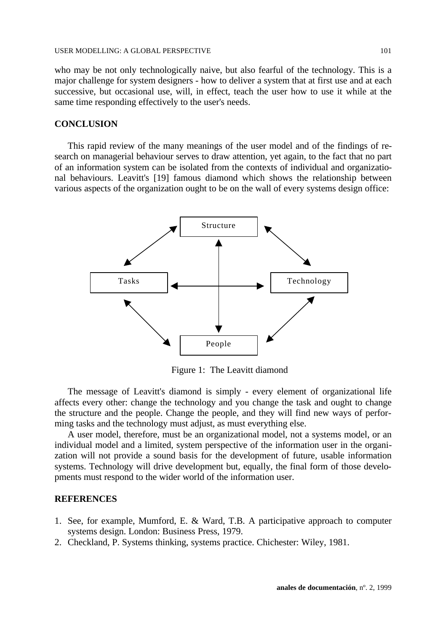who may be not only technologically naive, but also fearful of the technology. This is a major challenge for system designers - how to deliver a system that at first use and at each successive, but occasional use, will, in effect, teach the user how to use it while at the same time responding effectively to the user's needs.

### **CONCLUSION**

This rapid review of the many meanings of the user model and of the findings of research on managerial behaviour serves to draw attention, yet again, to the fact that no part of an information system can be isolated from the contexts of individual and organizational behaviours. Leavitt's [19] famous diamond which shows the relationship between various aspects of the organization ought to be on the wall of every systems design office:



Figure 1: The Leavitt diamond

The message of Leavitt's diamond is simply - every element of organizational life affects every other: change the technology and you change the task and ought to change the structure and the people. Change the people, and they will find new ways of performing tasks and the technology must adjust, as must everything else.

A user model, therefore, must be an organizational model, not a systems model, or an individual model and a limited, system perspective of the information user in the organization will not provide a sound basis for the development of future, usable information systems. Technology will drive development but, equally, the final form of those developments must respond to the wider world of the information user.

## **REFERENCES**

- 1. See, for example, Mumford, E. & Ward, T.B. A participative approach to computer systems design. London: Business Press, 1979.
- 2. Checkland, P. Systems thinking, systems practice. Chichester: Wiley, 1981.